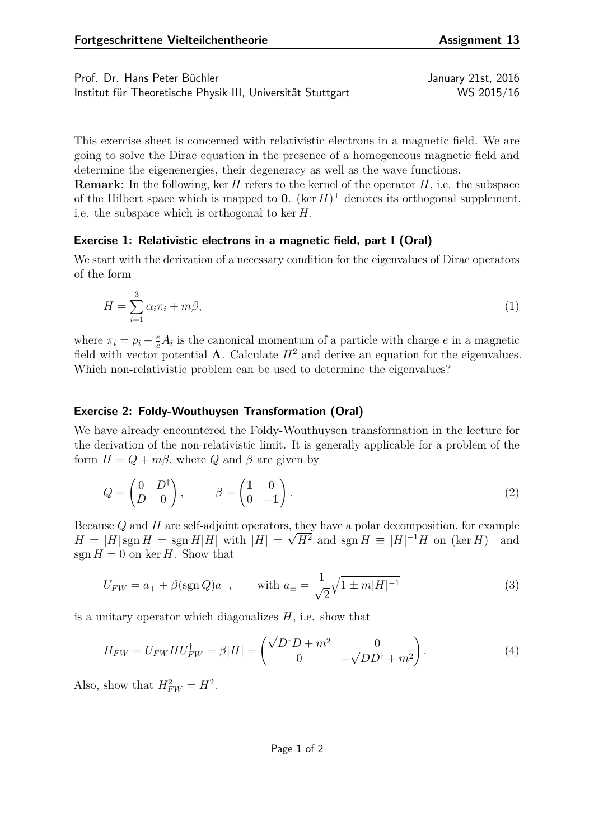Prof. Dr. Hans Peter Büchler January 21st, 2016

Institut für Theoretische Physik III, Universität Stuttgart WS 2015/16

This exercise sheet is concerned with relativistic electrons in a magnetic field. We are going to solve the Dirac equation in the presence of a homogeneous magnetic field and determine the eigenenergies, their degeneracy as well as the wave functions.

**Remark**: In the following, ker *H* refers to the kernel of the operator *H*, i.e. the subspace of the Hilbert space which is mapped to **0**. (ker  $H$ )<sup> $\perp$ </sup> denotes its orthogonal supplement, i.e. the subspace which is orthogonal to ker *H*.

## **Exercise 1: Relativistic electrons in a magnetic field, part I (Oral)**

We start with the derivation of a necessary condition for the eigenvalues of Dirac operators of the form

$$
H = \sum_{i=1}^{3} \alpha_i \pi_i + m\beta,\tag{1}
$$

where  $\pi_i = p_i - \frac{e}{c} A_i$  is the canonical momentum of a particle with charge *e* in a magnetic field with vector potential **A**. Calculate  $H^2$  and derive an equation for the eigenvalues. Which non-relativistic problem can be used to determine the eigenvalues?

## **Exercise 2: Foldy-Wouthuysen Transformation (Oral)**

We have already encountered the Foldy-Wouthuysen transformation in the lecture for the derivation of the non-relativistic limit. It is generally applicable for a problem of the form  $H = Q + m\beta$ , where *Q* and  $\beta$  are given by

<span id="page-0-0"></span>
$$
Q = \begin{pmatrix} 0 & D^{\dagger} \\ D & 0 \end{pmatrix}, \qquad \beta = \begin{pmatrix} 1 & 0 \\ 0 & -1 \end{pmatrix}.
$$
 (2)

Because *Q* and *H* are self-adjoint operators, they have a polar decomposition, for example  $H = |H| \operatorname{sgn} H = \operatorname{sgn} H |H|$  with  $|H| = \sqrt{H^2}$  and  $\operatorname{sgn} H = |H|^{-1}H$  on  $(\ker H)^{\perp}$  and sgn  $H = 0$  on ker *H*. Show that

$$
U_{FW} = a_+ + \beta(\text{sgn }Q)a_-, \qquad \text{with } a_\pm = \frac{1}{\sqrt{2}}\sqrt{1 \pm m|H|^{-1}} \tag{3}
$$

is a unitary operator which diagonalizes *H*, i.e. show that

$$
H_{FW} = U_{FW} H U_{FW}^{\dagger} = \beta |H| = \begin{pmatrix} \sqrt{D^{\dagger} D + m^2} & 0\\ 0 & -\sqrt{D D^{\dagger} + m^2} \end{pmatrix}.
$$
 (4)

Also, show that  $H_{FW}^2 = H^2$ .